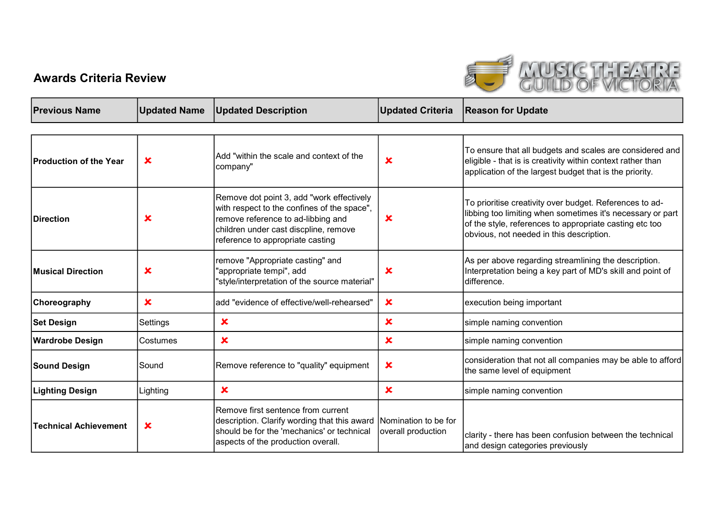## Awards Criteria Review



| <b>Previous Name</b>          | <b>Updated Name</b>       | <b>Updated Description</b>                                                                                                                                                                                  | <b>Updated Criteria</b>                    | <b>Reason for Update</b>                                                                                                                                                                                                     |
|-------------------------------|---------------------------|-------------------------------------------------------------------------------------------------------------------------------------------------------------------------------------------------------------|--------------------------------------------|------------------------------------------------------------------------------------------------------------------------------------------------------------------------------------------------------------------------------|
|                               |                           |                                                                                                                                                                                                             |                                            |                                                                                                                                                                                                                              |
| <b>Production of the Year</b> | $\boldsymbol{\mathsf{x}}$ | Add "within the scale and context of the<br>company"                                                                                                                                                        | $\mathbf x$                                | To ensure that all budgets and scales are considered and<br>eligible - that is is creativity within context rather than<br>application of the largest budget that is the priority.                                           |
| <b>Direction</b>              | $\mathbf x$               | Remove dot point 3, add "work effectively<br>with respect to the confines of the space",<br>remove reference to ad-libbing and<br>children under cast discpline, remove<br>reference to appropriate casting | $\mathbf x$                                | To prioritise creativity over budget. References to ad-<br>libbing too limiting when sometimes it's necessary or part<br>of the style, references to appropriate casting etc too<br>obvious, not needed in this description. |
| <b>Musical Direction</b>      | $\boldsymbol{\mathsf{x}}$ | remove "Appropriate casting" and<br>"appropriate tempi", add<br>"style/interpretation of the source material"                                                                                               | $\boldsymbol{\mathsf{x}}$                  | As per above regarding streamlining the description.<br>Interpretation being a key part of MD's skill and point of<br>difference.                                                                                            |
| <b>Choreography</b>           | $\mathbf x$               | add "evidence of effective/well-rehearsed"                                                                                                                                                                  | $\mathbf x$                                | execution being important                                                                                                                                                                                                    |
| <b>Set Design</b>             | Settings                  | $\boldsymbol{\mathsf{x}}$                                                                                                                                                                                   | $\mathbf x$                                | simple naming convention                                                                                                                                                                                                     |
| <b>Wardrobe Design</b>        | Costumes                  | $\boldsymbol{\mathsf{x}}$                                                                                                                                                                                   | $\pmb{\times}$                             | simple naming convention                                                                                                                                                                                                     |
| <b>Sound Design</b>           | Sound                     | Remove reference to "quality" equipment                                                                                                                                                                     | $\boldsymbol{\mathsf{x}}$                  | consideration that not all companies may be able to afford<br>the same level of equipment                                                                                                                                    |
| Lighting Design               | Lighting                  | $\mathbf x$                                                                                                                                                                                                 | $\mathbf x$                                | simple naming convention                                                                                                                                                                                                     |
| <b>Technical Achievement</b>  | $\mathbf x$               | Remove first sentence from current<br>description. Clarify wording that this award<br>should be for the 'mechanics' or technical<br>aspects of the production overall.                                      | Nomination to be for<br>overall production | clarity - there has been confusion between the technical<br>and design categories previously                                                                                                                                 |